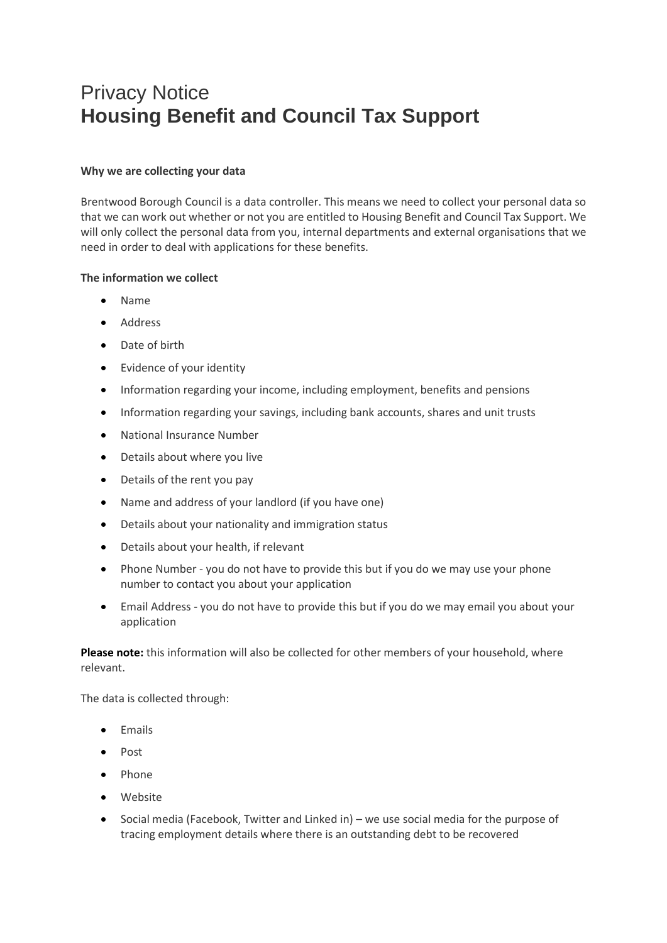# Privacy Notice **Housing Benefit and Council Tax Support**

## **Why we are collecting your data**

Brentwood Borough Council is a data controller. This means we need to collect your personal data so that we can work out whether or not you are entitled to Housing Benefit and Council Tax Support. We will only collect the personal data from you, internal departments and external organisations that we need in order to deal with applications for these benefits.

## **The information we collect**

- Name
- Address
- Date of birth
- Evidence of your identity
- Information regarding your income, including employment, benefits and pensions
- Information regarding your savings, including bank accounts, shares and unit trusts
- National Insurance Number
- Details about where you live
- Details of the rent you pay
- Name and address of your landlord (if you have one)
- Details about your nationality and immigration status
- Details about your health, if relevant
- Phone Number you do not have to provide this but if you do we may use your phone number to contact you about your application
- Email Address you do not have to provide this but if you do we may email you about your application

Please note: this information will also be collected for other members of your household, where relevant.

The data is collected through:

- Emails
- Post
- Phone
- Website
- Social media (Facebook, Twitter and Linked in) we use social media for the purpose of tracing employment details where there is an outstanding debt to be recovered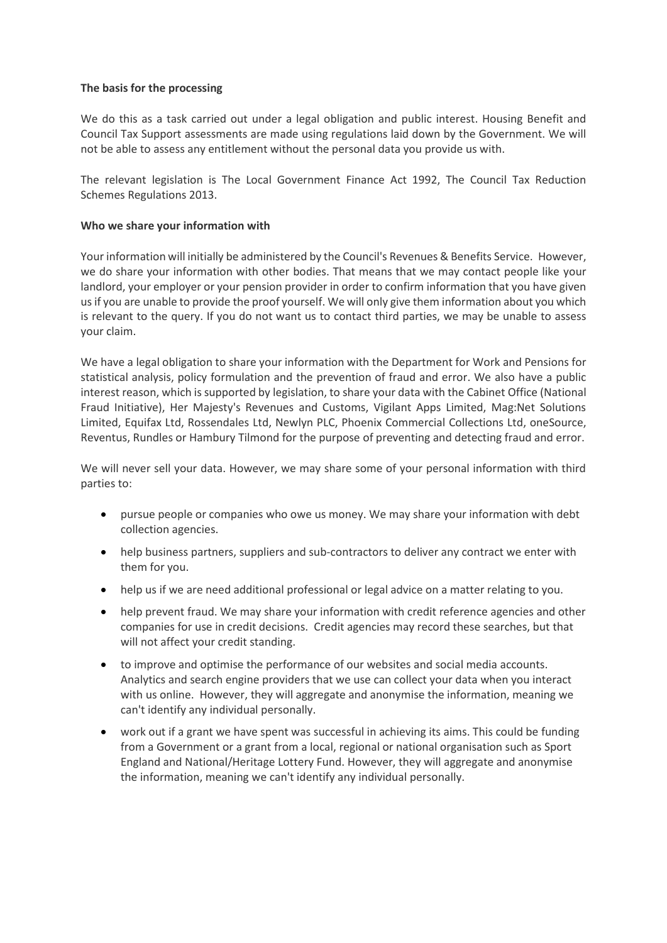### **The basis for the processing**

We do this as a task carried out under a legal obligation and public interest. Housing Benefit and Council Tax Support assessments are made using regulations laid down by the Government. We will not be able to assess any entitlement without the personal data you provide us with.

The relevant legislation is The Local Government Finance Act 1992, The Council Tax Reduction Schemes Regulations 2013.

### **Who we share your information with**

Your information will initially be administered by the Council's Revenues & Benefits Service. However, we do share your information with other bodies. That means that we may contact people like your landlord, your employer or your pension provider in order to confirm information that you have given us if you are unable to provide the proof yourself. We will only give them information about you which is relevant to the query. If you do not want us to contact third parties, we may be unable to assess your claim.

We have a legal obligation to share your information with the Department for Work and Pensions for statistical analysis, policy formulation and the prevention of fraud and error. We also have a public interest reason, which is supported by legislation, to share your data with the Cabinet Office (National Fraud Initiative), Her Majesty's Revenues and Customs, Vigilant Apps Limited, Mag:Net Solutions Limited, Equifax Ltd, Rossendales Ltd, Newlyn PLC, Phoenix Commercial Collections Ltd, oneSource, Reventus, Rundles or Hambury Tilmond for the purpose of preventing and detecting fraud and error.

We will never sell your data. However, we may share some of your personal information with third parties to:

- pursue people or companies who owe us money. We may share your information with debt collection agencies.
- help business partners, suppliers and sub-contractors to deliver any contract we enter with them for you.
- help us if we are need additional professional or legal advice on a matter relating to you.
- help prevent fraud. We may share your information with credit reference agencies and other companies for use in credit decisions. Credit agencies may record these searches, but that will not affect your credit standing.
- to improve and optimise the performance of our websites and social media accounts. Analytics and search engine providers that we use can collect your data when you interact with us online. However, they will aggregate and anonymise the information, meaning we can't identify any individual personally.
- work out if a grant we have spent was successful in achieving its aims. This could be funding from a Government or a grant from a local, regional or national organisation such as Sport England and National/Heritage Lottery Fund. However, they will aggregate and anonymise the information, meaning we can't identify any individual personally.